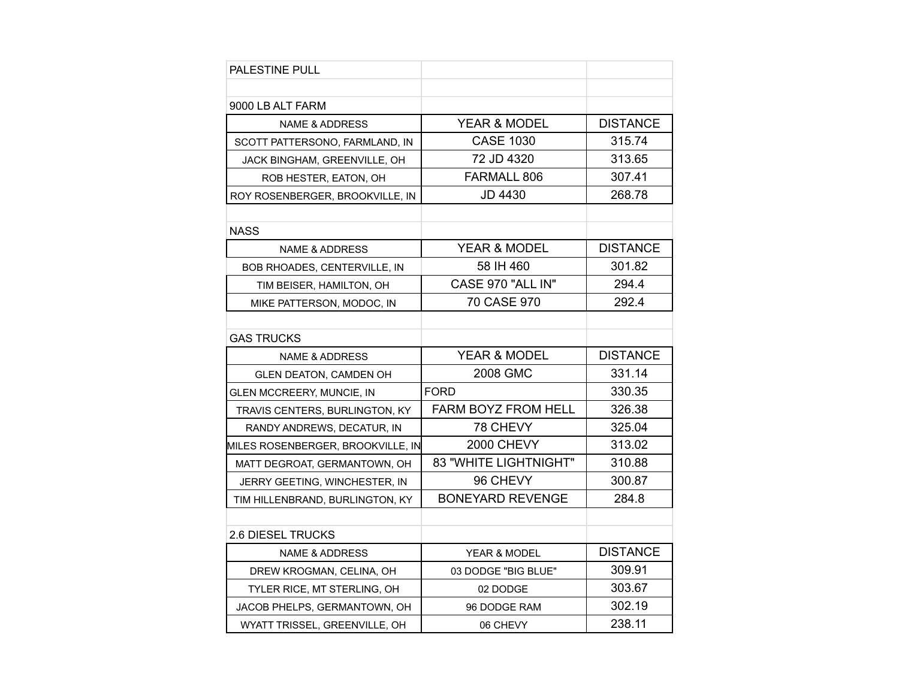| <b>PALESTINE PULL</b>             |                         |                 |
|-----------------------------------|-------------------------|-----------------|
|                                   |                         |                 |
| 9000 LB ALT FARM                  |                         |                 |
| <b>NAME &amp; ADDRESS</b>         | <b>YEAR &amp; MODEL</b> | <b>DISTANCE</b> |
| SCOTT PATTERSONO, FARMLAND, IN    | <b>CASE 1030</b>        | 315.74          |
| JACK BINGHAM, GREENVILLE, OH      | 72 JD 4320              | 313.65          |
| ROB HESTER, EATON, OH             | <b>FARMALL 806</b>      | 307.41          |
| ROY ROSENBERGER, BROOKVILLE, IN   | JD 4430                 | 268.78          |
|                                   |                         |                 |
| <b>NASS</b>                       |                         |                 |
| <b>NAME &amp; ADDRESS</b>         | <b>YEAR &amp; MODEL</b> | <b>DISTANCE</b> |
| BOB RHOADES, CENTERVILLE, IN      | 58 IH 460               | 301.82          |
| TIM BEISER, HAMILTON, OH          | CASE 970 "ALL IN"       | 294.4           |
| MIKE PATTERSON, MODOC, IN         | 70 CASE 970             | 292.4           |
|                                   |                         |                 |
| <b>GAS TRUCKS</b>                 |                         |                 |
|                                   |                         |                 |
| <b>NAME &amp; ADDRESS</b>         | <b>YEAR &amp; MODEL</b> | <b>DISTANCE</b> |
| <b>GLEN DEATON, CAMDEN OH</b>     | 2008 GMC                | 331.14          |
| GLEN MCCREERY, MUNCIE, IN         | <b>FORD</b>             | 330.35          |
| TRAVIS CENTERS, BURLINGTON, KY    | FARM BOYZ FROM HELL     | 326.38          |
| RANDY ANDREWS, DECATUR, IN        | 78 CHEVY                | 325.04          |
| MILES ROSENBERGER, BROOKVILLE, IN | <b>2000 CHEVY</b>       | 313.02          |
| MATT DEGROAT, GERMANTOWN, OH      | 83 "WHITE LIGHTNIGHT"   | 310.88          |
| JERRY GEETING, WINCHESTER, IN     | 96 CHEVY                | 300.87          |
| TIM HILLENBRAND, BURLINGTON, KY   | <b>BONEYARD REVENGE</b> | 284.8           |
|                                   |                         |                 |
| <b>2.6 DIESEL TRUCKS</b>          |                         |                 |
| <b>NAME &amp; ADDRESS</b>         | <b>YEAR &amp; MODEL</b> | <b>DISTANCE</b> |
| DREW KROGMAN, CELINA, OH          | 03 DODGE "BIG BLUE"     | 309.91          |
| TYLER RICE, MT STERLING, OH       | 02 DODGE                | 303.67          |
| JACOB PHELPS, GERMANTOWN, OH      | 96 DODGE RAM            | 302.19          |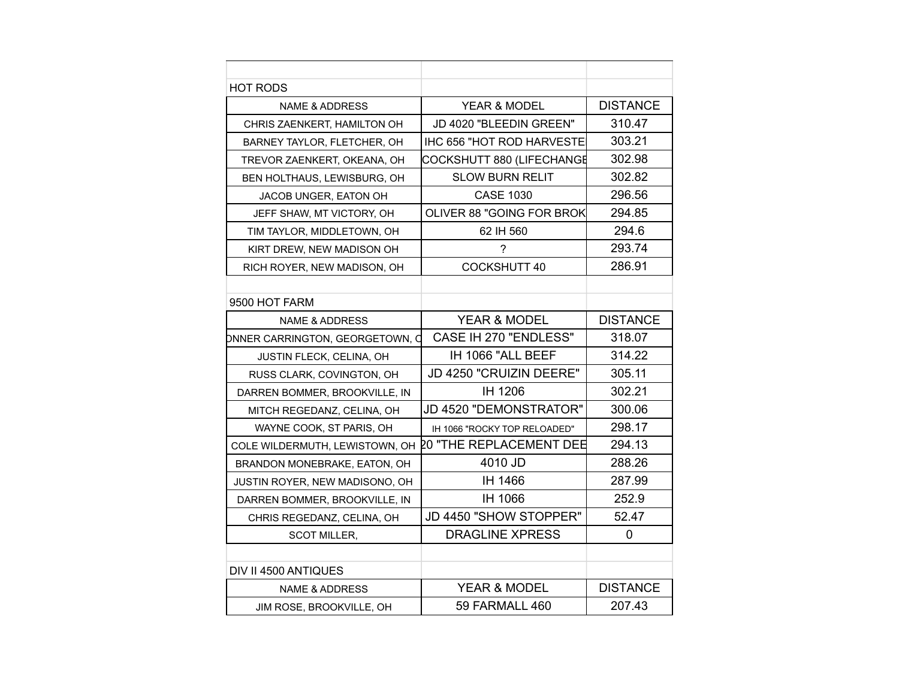| <b>HOT RODS</b>                 |                              |                 |
|---------------------------------|------------------------------|-----------------|
| <b>NAME &amp; ADDRESS</b>       | YEAR & MODEL                 | <b>DISTANCE</b> |
| CHRIS ZAENKERT, HAMILTON OH     | JD 4020 "BLEEDIN GREEN"      | 310.47          |
| BARNEY TAYLOR, FLETCHER, OH     | IHC 656 "HOT ROD HARVESTE    | 303.21          |
| TREVOR ZAENKERT, OKEANA, OH     | COCKSHUTT 880 (LIFECHANGE    | 302.98          |
| BEN HOLTHAUS, LEWISBURG, OH     | <b>SLOW BURN RELIT</b>       | 302.82          |
| JACOB UNGER, EATON OH           | <b>CASE 1030</b>             | 296.56          |
| JEFF SHAW, MT VICTORY, OH       | OLIVER 88 "GOING FOR BROK    | 294.85          |
| TIM TAYLOR, MIDDLETOWN, OH      | 62 IH 560                    | 294.6           |
| KIRT DREW, NEW MADISON OH       | 7                            | 293.74          |
| RICH ROYER, NEW MADISON, OH     | <b>COCKSHUTT 40</b>          | 286.91          |
|                                 |                              |                 |
| 9500 HOT FARM                   |                              |                 |
| <b>NAME &amp; ADDRESS</b>       | <b>YEAR &amp; MODEL</b>      | <b>DISTANCE</b> |
| DNNER CARRINGTON, GEORGETOWN, C | CASE IH 270 "ENDLESS"        | 318.07          |
| JUSTIN FLECK, CELINA, OH        | IH 1066 "ALL BEEF            | 314.22          |
| RUSS CLARK, COVINGTON, OH       | JD 4250 "CRUIZIN DEERE"      | 305.11          |
| DARREN BOMMER, BROOKVILLE, IN   | IH 1206                      | 302.21          |
| MITCH REGEDANZ, CELINA, OH      | JD 4520 "DEMONSTRATOR"       | 300.06          |
| WAYNE COOK, ST PARIS, OH        | IH 1066 "ROCKY TOP RELOADED" | 298.17          |
| COLE WILDERMUTH, LEWISTOWN, OH  | 20 "THE REPLACEMENT DEE      | 294.13          |
| BRANDON MONEBRAKE, EATON, OH    | 4010 JD                      | 288.26          |
| JUSTIN ROYER, NEW MADISONO, OH  | IH 1466                      | 287.99          |
| DARREN BOMMER, BROOKVILLE, IN   | <b>IH 1066</b>               | 252.9           |
| CHRIS REGEDANZ, CELINA, OH      | JD 4450 "SHOW STOPPER"       | 52.47           |
| <b>SCOT MILLER,</b>             | <b>DRAGLINE XPRESS</b>       | $\overline{0}$  |
|                                 |                              |                 |
| DIV II 4500 ANTIQUES            |                              |                 |
| <b>NAME &amp; ADDRESS</b>       | <b>YEAR &amp; MODEL</b>      | <b>DISTANCE</b> |
| JIM ROSE, BROOKVILLE, OH        | 59 FARMALL 460               | 207.43          |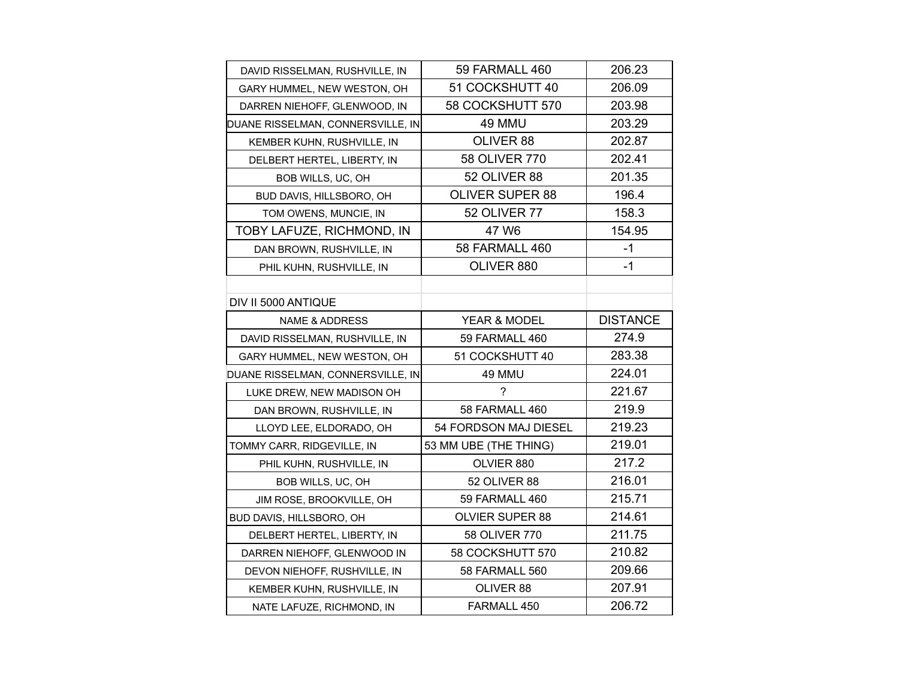| DAVID RISSELMAN, RUSHVILLE, IN    | 59 FARMALL 460         | 206.23          |
|-----------------------------------|------------------------|-----------------|
| GARY HUMMEL, NEW WESTON, OH       | 51 COCKSHUTT 40        | 206.09          |
| DARREN NIEHOFF, GLENWOOD, IN      | 58 COCKSHUTT 570       | 203.98          |
| DUANE RISSELMAN, CONNERSVILLE, IN | 49 MMU                 | 203.29          |
| KEMBER KUHN, RUSHVILLE, IN        | OLIVER 88              | 202.87          |
| DELBERT HERTEL, LIBERTY, IN       | 58 OLIVER 770          | 202.41          |
| BOB WILLS, UC, OH                 | 52 OLIVER 88           | 201.35          |
| BUD DAVIS, HILLSBORO, OH          | <b>OLIVER SUPER 88</b> | 196.4           |
| TOM OWENS, MUNCIE, IN             | <b>52 OLIVER 77</b>    | 158.3           |
| TOBY LAFUZE, RICHMOND, IN         | 47 W6                  | 154.95          |
| DAN BROWN, RUSHVILLE, IN          | 58 FARMALL 460         | $-1$            |
| PHIL KUHN, RUSHVILLE, IN          | OLIVER 880             | $-1$            |
|                                   |                        |                 |
| DIV II 5000 ANTIQUE               |                        |                 |
| <b>NAME &amp; ADDRESS</b>         | YEAR & MODEL           | <b>DISTANCE</b> |
| DAVID RISSELMAN, RUSHVILLE, IN    | 59 FARMALL 460         | 274.9           |
| GARY HUMMEL, NEW WESTON, OH       | 51 COCKSHUTT 40        | 283.38          |
| DUANE RISSELMAN, CONNERSVILLE, IN | 49 MMU                 | 224.01          |
| LUKE DREW, NEW MADISON OH         | 7                      | 221.67          |
| DAN BROWN, RUSHVILLE, IN          | 58 FARMALL 460         | 219.9           |
| LLOYD LEE, ELDORADO, OH           | 54 FORDSON MAJ DIESEL  | 219.23          |
| TOMMY CARR, RIDGEVILLE, IN        | 53 MM UBE (THE THING)  | 219.01          |
| PHIL KUHN, RUSHVILLE, IN          | OLVIER 880             | 217.2           |
| BOB WILLS, UC, OH                 | 52 OLIVER 88           | 216.01          |
| JIM ROSE, BROOKVILLE, OH          | 59 FARMALL 460         | 215.71          |
| BUD DAVIS, HILLSBORO, OH          | <b>OLVIER SUPER 88</b> | 214.61          |
| DELBERT HERTEL, LIBERTY, IN       | 58 OLIVER 770          | 211.75          |
| DARREN NIEHOFF, GLENWOOD IN       | 58 COCKSHUTT 570       | 210.82          |
| DEVON NIEHOFF, RUSHVILLE, IN      | 58 FARMALL 560         | 209.66          |
| KEMBER KUHN, RUSHVILLE, IN        | OLIVER 88              | 207.91          |
| NATE LAFUZE, RICHMOND, IN         | FARMALL 450            | 206.72          |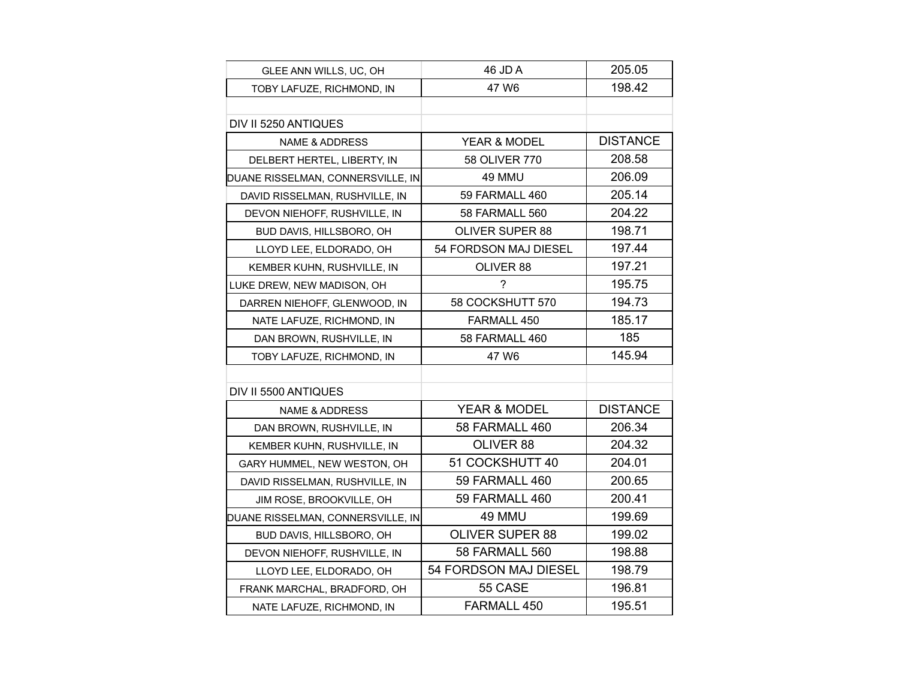| GLEE ANN WILLS, UC, OH            | 46 JD A                | 205.05          |
|-----------------------------------|------------------------|-----------------|
| TOBY LAFUZE, RICHMOND, IN         | 47 W6                  | 198.42          |
|                                   |                        |                 |
| DIV II 5250 ANTIQUES              |                        |                 |
| <b>NAME &amp; ADDRESS</b>         | YEAR & MODEL           | <b>DISTANCE</b> |
| DELBERT HERTEL, LIBERTY, IN       | 58 OLIVER 770          | 208.58          |
| DUANE RISSELMAN, CONNERSVILLE, IN | 49 MMU                 | 206.09          |
| DAVID RISSELMAN, RUSHVILLE, IN    | 59 FARMALL 460         | 205.14          |
| DEVON NIEHOFF, RUSHVILLE, IN      | 58 FARMALL 560         | 204.22          |
| BUD DAVIS, HILLSBORO, OH          | <b>OLIVER SUPER 88</b> | 198.71          |
| LLOYD LEE, ELDORADO, OH           | 54 FORDSON MAJ DIESEL  | 197.44          |
| KEMBER KUHN, RUSHVILLE, IN        | OLIVER 88              | 197.21          |
| LUKE DREW, NEW MADISON, OH        | ?                      | 195.75          |
| DARREN NIEHOFF, GLENWOOD, IN      | 58 COCKSHUTT 570       | 194.73          |
| NATE LAFUZE, RICHMOND, IN         | FARMALL 450            | 185.17          |
| DAN BROWN, RUSHVILLE, IN          | 58 FARMALL 460         | 185             |
| TOBY LAFUZE, RICHMOND, IN         | 47 W6                  | 145.94          |
|                                   |                        |                 |
| DIV II 5500 ANTIQUES              |                        |                 |
| <b>NAME &amp; ADDRESS</b>         | YEAR & MODEL           | <b>DISTANCE</b> |
| DAN BROWN, RUSHVILLE, IN          | 58 FARMALL 460         | 206.34          |
| KEMBER KUHN, RUSHVILLE, IN        | OLIVER 88              | 204.32          |
| GARY HUMMEL, NEW WESTON, OH       | 51 COCKSHUTT 40        | 204.01          |
| DAVID RISSELMAN, RUSHVILLE, IN    | 59 FARMALL 460         | 200.65          |
| JIM ROSE, BROOKVILLE, OH          | 59 FARMALL 460         | 200.41          |
| DUANE RISSELMAN, CONNERSVILLE, IN | 49 MMU                 | 199.69          |
| BUD DAVIS, HILLSBORO, OH          | <b>OLIVER SUPER 88</b> | 199.02          |
| DEVON NIEHOFF, RUSHVILLE, IN      | <b>58 FARMALL 560</b>  | 198.88          |
| LLOYD LEE, ELDORADO, OH           | 54 FORDSON MAJ DIESEL  | 198.79          |
| FRANK MARCHAL, BRADFORD, OH       | 55 CASE                | 196.81          |
| NATE LAFUZE, RICHMOND, IN         | FARMALL 450            | 195.51          |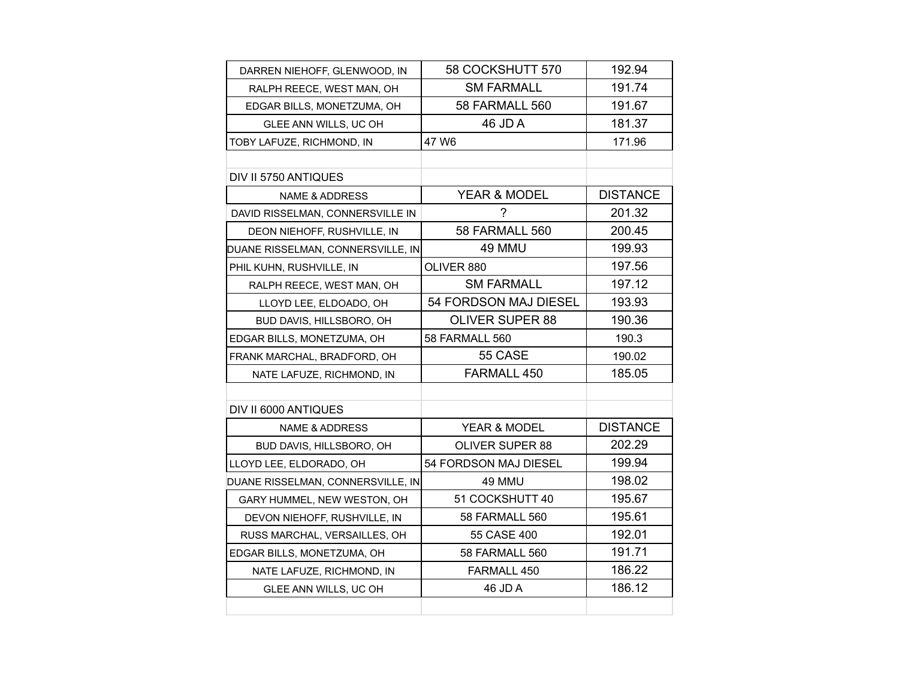| DARREN NIEHOFF, GLENWOOD, IN      | 58 COCKSHUTT 570        | 192.94          |
|-----------------------------------|-------------------------|-----------------|
| RALPH REECE, WEST MAN, OH         | <b>SM FARMALL</b>       | 191.74          |
| EDGAR BILLS, MONETZUMA, OH        | <b>58 FARMALL 560</b>   | 191.67          |
| GLEE ANN WILLS, UC OH             | 46 JD A                 | 181.37          |
| TOBY LAFUZE, RICHMOND, IN         | 47 W6                   | 171.96          |
|                                   |                         |                 |
| DIV II 5750 ANTIQUES              |                         |                 |
| <b>NAME &amp; ADDRESS</b>         | <b>YEAR &amp; MODEL</b> | <b>DISTANCE</b> |
| DAVID RISSELMAN, CONNERSVILLE IN  | ?                       | 201.32          |
| DEON NIEHOFF, RUSHVILLE, IN       | 58 FARMALL 560          | 200.45          |
| DUANE RISSELMAN, CONNERSVILLE, IN | 49 MMU                  | 199.93          |
| PHIL KUHN, RUSHVILLE, IN          | OLIVER 880              | 197.56          |
| RALPH REECE, WEST MAN, OH         | <b>SM FARMALL</b>       | 197.12          |
| LLOYD LEE, ELDOADO, OH            | 54 FORDSON MAJ DIESEL   | 193.93          |
| BUD DAVIS, HILLSBORO, OH          | <b>OLIVER SUPER 88</b>  | 190.36          |
| EDGAR BILLS, MONETZUMA, OH        | 58 FARMALL 560          | 190.3           |
| FRANK MARCHAL, BRADFORD, OH       | 55 CASE                 | 190.02          |
| NATE LAFUZE, RICHMOND, IN         | FARMALL 450             | 185.05          |
|                                   |                         |                 |
| DIV II 6000 ANTIQUES              |                         |                 |
| <b>NAME &amp; ADDRESS</b>         | YEAR & MODEL            | <b>DISTANCE</b> |
| BUD DAVIS, HILLSBORO, OH          | <b>OLIVER SUPER 88</b>  | 202.29          |
| LLOYD LEE, ELDORADO, OH           | 54 FORDSON MAJ DIESEL   | 199.94          |
| DUANE RISSELMAN, CONNERSVILLE, IN | 49 MMU                  | 198.02          |
| GARY HUMMEL, NEW WESTON, OH       | 51 COCKSHUTT 40         | 195.67          |
| DEVON NIEHOFF, RUSHVILLE, IN      | 58 FARMALL 560          | 195.61          |
| RUSS MARCHAL, VERSAILLES, OH      | 55 CASE 400             | 192.01          |
| EDGAR BILLS, MONETZUMA, OH        | 58 FARMALL 560          | 191.71          |
| NATE LAFUZE, RICHMOND, IN         | FARMALL 450             | 186.22          |
| GLEE ANN WILLS, UC OH             | 46 JD A                 | 186.12          |
|                                   |                         |                 |